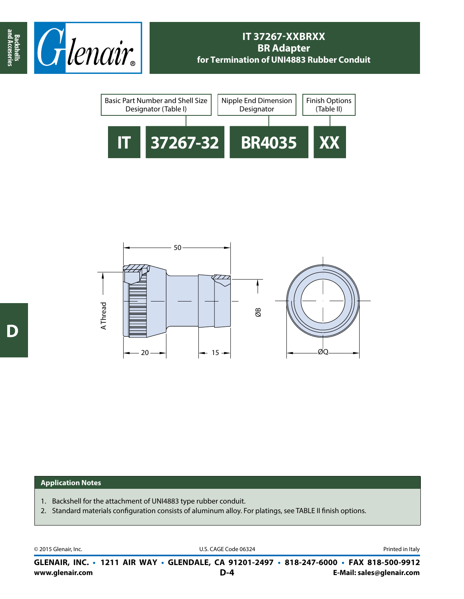





## **Application Notes**

- 1. Backshell for the attachment of UNI4883 type rubber conduit.
- 2. Standard materials configuration consists of aluminum alloy. For platings, see TABLE II finish options.

© 2015 Glenair, Inc. U.S. CAGE Code 06324 Printed in Italy

**www.glenair.com E-Mail: sales@glenair.com GLENAIR, INC. • 1211 AIR WAY • GLENDALE, CA 91201-2497 • 818-247-6000 • FAX 818-500-9912 D-4**

**and Accesories**